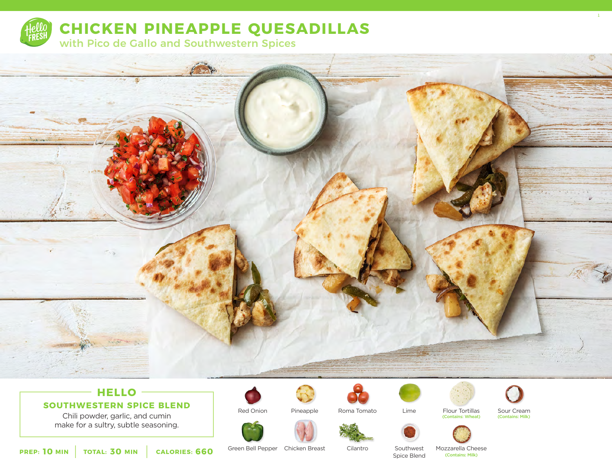

**CHICKEN PINEAPPLE QUESADILLAS**

with Pico de Gallo and Southwestern Spices



## **HELLO**

**SOUTHWESTERN SPICE BLEND**

Chili powder, garlic, and cumin make for a sultry, subtle seasoning.



Pineapple







Sour Cream<br>(Contains: Milk)





Lime

(Contains: Wheat)

**10** MIN | TOTAL: 30 MIN | CALORIES: 660

Green Bell Pepper Chicken Breast

Red Onion

Cilantro

Southwest Spice Blend

Mozzarella Cheese (Contains: Milk)



 $\frac{1}{1}$